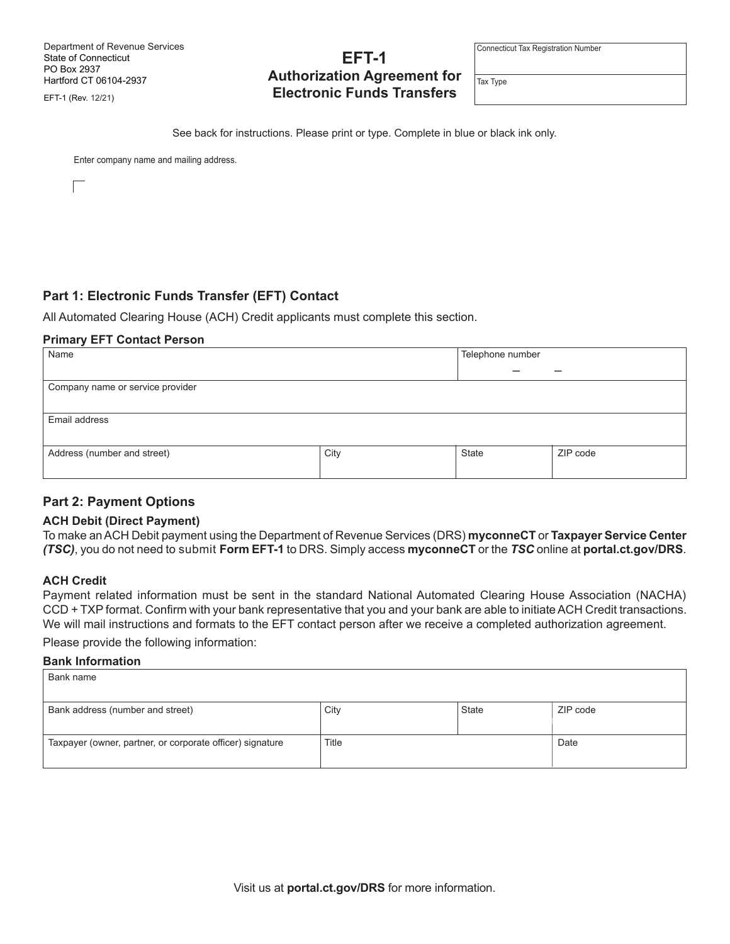Department of Revenue Services State of Connecticut PO Box 2937 Hartford CT 06104-2937

EFT-1 (Rev. 12/21)

 $\Box$ 

# **EFT-1 Authorization Agreement for Electronic Funds Transfers**

Connecticut Tax Registration Number

Tax Type

See back for instructions. Please print or type. Complete in blue or black ink only.

Enter company name and mailing address.

## **Part 1: Electronic Funds Transfer (EFT) Contact**

All Automated Clearing House (ACH) Credit applicants must complete this section.

#### **Primary EFT Contact Person**

| Name                             |      | Telephone number |          |
|----------------------------------|------|------------------|----------|
|                                  |      |                  |          |
| Company name or service provider |      |                  |          |
|                                  |      |                  |          |
| Email address                    |      |                  |          |
|                                  |      |                  |          |
| Address (number and street)      | City | State            | ZIP code |
|                                  |      |                  |          |

## **Part 2: Payment Options**

### **ACH Debit (Direct Payment)**

To make an ACH Debit payment using the Department of Revenue Services (DRS) **myconneCT** or **Taxpayer Service Center**  *(TSC)*, you do not need to submit **Form EFT-1** to DRS. Simply access **myconneCT** or the *TSC* online at **[portal.ct.gov/DRS](https://portal.ct.gov/DRS)**.

## **ACH Credit**

Payment related information must be sent in the standard National Automated Clearing House Association (NACHA) CCD + TXP format. Confirm with your bank representative that you and your bank are able to initiate ACH Credit transactions. We will mail instructions and formats to the EFT contact person after we receive a completed authorization agreement.

Please provide the following information:

## **Bank Information**

| Bank name                                                 |       |              |          |
|-----------------------------------------------------------|-------|--------------|----------|
| Bank address (number and street)                          | City  | <b>State</b> | ZIP code |
| Taxpayer (owner, partner, or corporate officer) signature | Title |              | Date     |